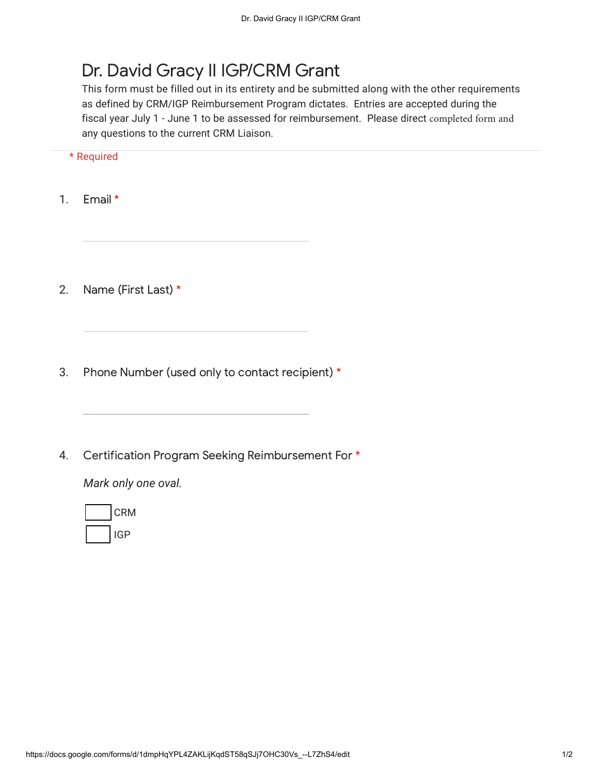## Dr. David Gracy II IGP/CRM Grant

This form must be filled out in its entirety and be submitted along with the other requirements as defined by CRM/IGP Reimbursement Program dictates. Entries are accepted during the fiscal year July 1 - June 1 to be assessed for reimbursement. Please direct completed form and any questions to the current CRM Liaison.

- 1. Email \*
- 2. Name (First Last) \*
- 3. Phone Number (used only to contact recipient) \*
- 4. Certification Program Seeking Reimbursement For \*

*Mark only one oval.*

| <b>CRM</b> |
|------------|
| IGP        |